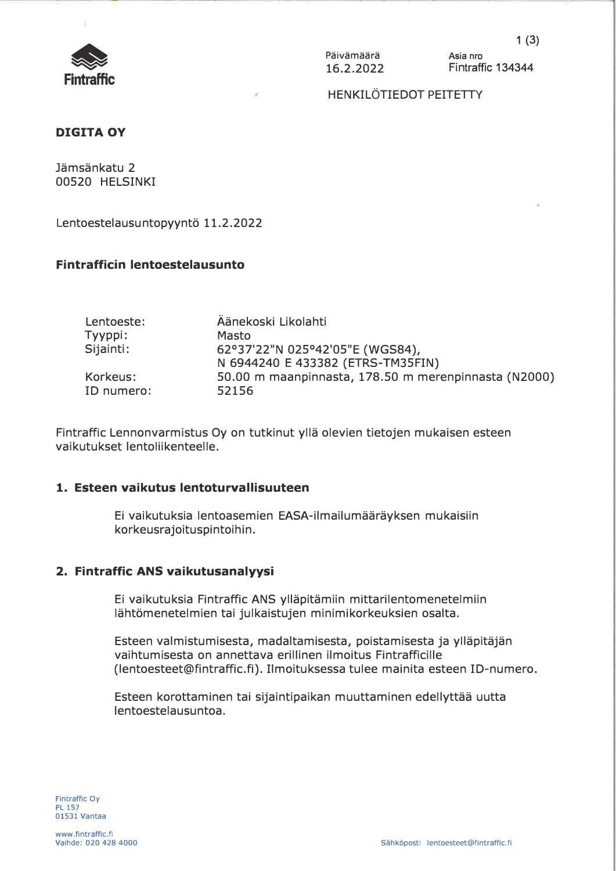

Päivämäärä 16.2.2022

Asia nro Fintraffic 134344

HENKILÖTIEDOT PEITETTY

## **DIGITA OY**

Jämsänkatu 2 00520 HELSINKI

Lentoestelausuntopyyntö 11.2.2022

### **Fintrafficin lentoestelausunto**

| Lentoeste: | Äänekoski Likolahti                                  |
|------------|------------------------------------------------------|
| Tyyppi:    | <b>Masto</b>                                         |
| Sijainti:  | 62°37'22"N 025°42'05"E (WGS84),                      |
|            | N 6944240 E 433382 (ETRS-TM35FIN)                    |
| Korkeus:   | 50.00 m maanpinnasta, 178.50 m merenpinnasta (N2000) |
| ID numero: | 52156                                                |

Fintraffic Lennonvarmistus Oy on tutkinut yllä olevien tietojen mukaisen esteen vaikutukset lentoliikenteelle.

### 1. Esteen vaikutus lentoturvallisuuteen

Ei vaikutuksia lentoasemien EASA-ilmailumääräyksen mukaisiin korkeusrajoituspintoihin.

#### 2. Fintraffic ANS vaikutusanalyysi

Ei vaikutuksia Fintraffic ANS ylläpitämiin mittarilentomenetelmiin lähtömenetelmien tai julkaistujen minimikorkeuksien osalta.

Esteen valmistumisesta, madaltamisesta, poistamisesta ja ylläpitäjän vaihtumisesta on annettava erillinen ilmoitus Fintrafficille (lentoesteet@fintraffic.fi). Ilmoituksessa tulee mainita esteen ID-numero,

Esteen korottaminen tai sijaintipaikan muuttaminen edellyttää uutta lentoestelausuntoa.

Fintraffic Oy **PL 157** 01531 Vantaa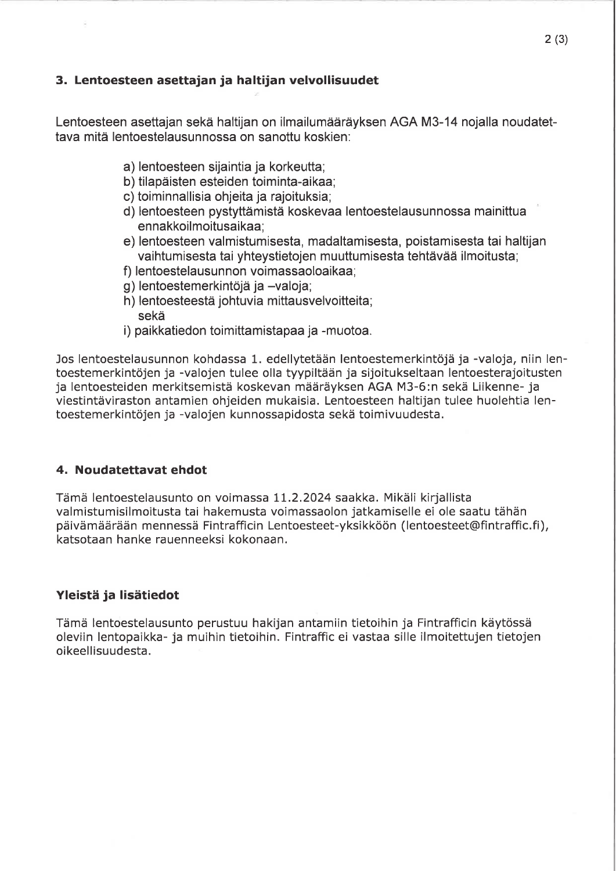# 3. Lentoesteen asettajan ja haltijan velvollisuudet

Lentoesteen asettaian sekä haltijan on ilmailumäärävksen AGA M3-14 noialla noudatettava mitä lentoestelausunnossa on sanottu koskien:

- a) lentoesteen sijaintia ja korkeutta;
- b) tilapäisten esteiden toiminta-aikaa:
- c) toiminnallisia ohjeita ja rajoituksia;
- d) lentoesteen pystyttämistä koskevaa lentoestelausunnossa mainittua ennakkoilmoitusaikaa:
- e) lentoesteen valmistumisesta, madaltamisesta, poistamisesta tai haltijan vaihtumisesta tai yhteystietojen muuttumisesta tehtävää ilmoitusta;
- f) lentoestelausunnon voimassaoloaikaa:
- g) lentoestemerkintöjä ja -valoja;
- h) lentoesteestä johtuvia mittausvelvoitteita; sekä
- i) paikkatiedon toimittamistapaa ja -muotoa.

Jos lentoestelausunnon kohdassa 1. edellytetään lentoestemerkintöjä ja -valoja, niin lentoestemerkintöjen ja -valojen tulee olla tyypiltään ja sijoitukseltaan lentoesterajoitusten ja lentoesteiden merkitsemistä koskevan määräyksen AGA M3-6:n sekä Liikenne- ja viestintäviraston antamien ohjeiden mukaisia. Lentoesteen haltijan tulee huolehtia lentoestemerkintöjen ja -valojen kunnossapidosta sekä toimivuudesta.

## 4. Noudatettavat ehdot

Tämä lentoestelausunto on voimassa 11.2.2024 saakka. Mikäli kirjallista valmistumisilmoitusta tai hakemusta voimassaolon jatkamiselle ei ole saatu tähän päivämäärään mennessä Fintrafficin Lentoesteet-yksikköön (lentoesteet@fintraffic.fi), katsotaan hanke rauenneeksi kokonaan.

## Yleistä ja lisätiedot

Tämä lentoestelausunto perustuu hakijan antamiin tietoihin ja Fintrafficin käytössä oleviin lentopaikka- ja muihin tietoihin. Fintraffic ei vastaa sille ilmoitettujen tietojen oikeellisuudesta.